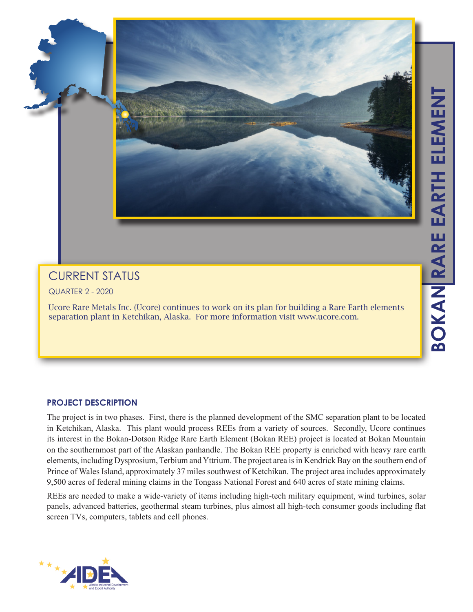

# CURRENT STATUS

QUARTER 2 - 2020

Ucore Rare Metals Inc. (Ucore) continues to work on its plan for building a Rare Earth elements separation plant in Ketchikan, Alaska. For more information visit www.ucore.com.

## **PROJECT DESCRIPTION**

The project is in two phases. First, there is the planned development of the SMC separation plant to be located in Ketchikan, Alaska. This plant would process REEs from a variety of sources. Secondly, Ucore continues its interest in the Bokan-Dotson Ridge Rare Earth Element (Bokan REE) project is located at Bokan Mountain on the southernmost part of the Alaskan panhandle. The Bokan REE property is enriched with heavy rare earth elements, including Dysprosium, Terbium and Yttrium. The project area is in Kendrick Bay on the southern end of Prince of Wales Island, approximately 37 miles southwest of Ketchikan. The project area includes approximately 9,500 acres of federal mining claims in the Tongass National Forest and 640 acres of state mining claims.

REEs are needed to make a wide-variety of items including high-tech military equipment, wind turbines, solar panels, advanced batteries, geothermal steam turbines, plus almost all high-tech consumer goods including flat screen TVs, computers, tablets and cell phones.